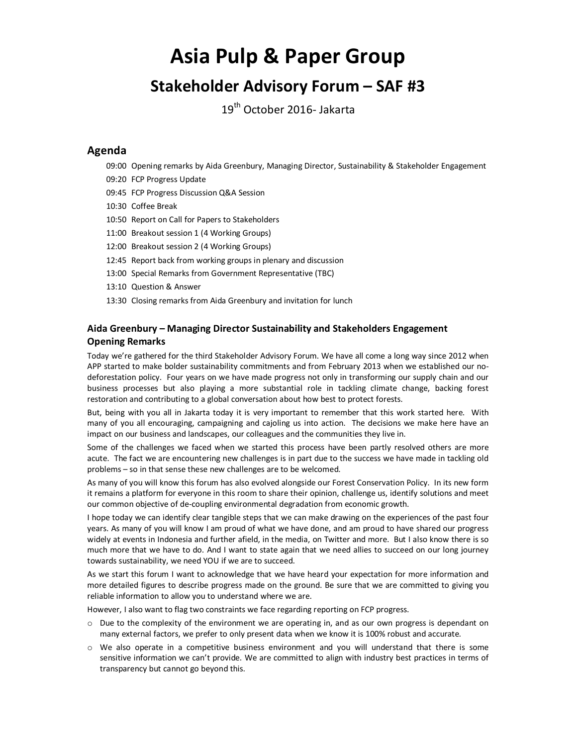# **Asia Pulp & Paper Group**

# **Stakeholder Advisory Forum – SAF #3**

19<sup>th</sup> October 2016- Jakarta

### **Agenda**

- 09:00 Opening remarks by Aida Greenbury, Managing Director, Sustainability & Stakeholder Engagement
- 09:20 FCP Progress Update
- 09:45 FCP Progress Discussion Q&A Session
- 10:30 Coffee Break
- 10:50 Report on Call for Papers to Stakeholders
- 11:00 Breakout session 1 (4 Working Groups)
- 12:00 Breakout session 2 (4 Working Groups)
- 12:45 Report back from working groups in plenary and discussion
- 13:00 Special Remarks from Government Representative (TBC)
- 13:10 Question & Answer
- 13:30 Closing remarks from Aida Greenbury and invitation for lunch

### **Aida Greenbury – Managing Director Sustainability and Stakeholders Engagement Opening Remarks**

Today we're gathered for the third Stakeholder Advisory Forum. We have all come a long way since 2012 when APP started to make bolder sustainability commitments and from February 2013 when we established our nodeforestation policy. Four years on we have made progress not only in transforming our supply chain and our business processes but also playing a more substantial role in tackling climate change, backing forest restoration and contributing to a global conversation about how best to protect forests.

But, being with you all in Jakarta today it is very important to remember that this work started here. With many of you all encouraging, campaigning and cajoling us into action. The decisions we make here have an impact on our business and landscapes, our colleagues and the communities they live in.

Some of the challenges we faced when we started this process have been partly resolved others are more acute. The fact we are encountering new challenges is in part due to the success we have made in tackling old problems – so in that sense these new challenges are to be welcomed.

As many of you will know this forum has also evolved alongside our Forest Conservation Policy. In its new form it remains a platform for everyone in this room to share their opinion, challenge us, identify solutions and meet our common objective of de-coupling environmental degradation from economic growth.

I hope today we can identify clear tangible steps that we can make drawing on the experiences of the past four years. As many of you will know I am proud of what we have done, and am proud to have shared our progress widely at events in Indonesia and further afield, in the media, on Twitter and more. But I also know there is so much more that we have to do. And I want to state again that we need allies to succeed on our long journey towards sustainability, we need YOU if we are to succeed.

As we start this forum I want to acknowledge that we have heard your expectation for more information and more detailed figures to describe progress made on the ground. Be sure that we are committed to giving you reliable information to allow you to understand where we are.

However, I also want to flag two constraints we face regarding reporting on FCP progress.

- $\circ$  Due to the complexity of the environment we are operating in, and as our own progress is dependant on many external factors, we prefer to only present data when we know it is 100% robust and accurate.
- o We also operate in a competitive business environment and you will understand that there is some sensitive information we can't provide. We are committed to align with industry best practices in terms of transparency but cannot go beyond this.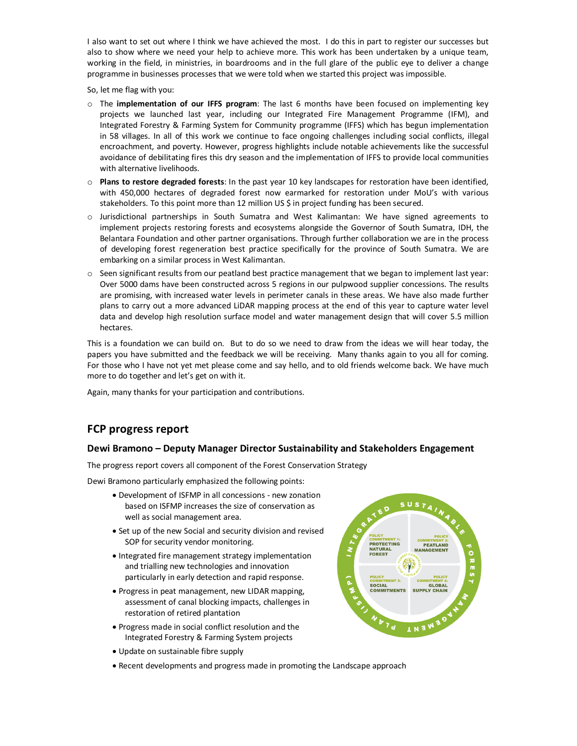I also want to set out where I think we have achieved the most. I do this in part to register our successes but also to show where we need your help to achieve more. This work has been undertaken by a unique team, working in the field, in ministries, in boardrooms and in the full glare of the public eye to deliver a change programme in businesses processes that we were told when we started this project was impossible.

So, let me flag with you:

- o The **implementation of our IFFS program**: The last 6 months have been focused on implementing key projects we launched last year, including our Integrated Fire Management Programme (IFM), and Integrated Forestry & Farming System for Community programme (IFFS) which has begun implementation in 58 villages. In all of this work we continue to face ongoing challenges including social conflicts, illegal encroachment, and poverty. However, progress highlights include notable achievements like the successful avoidance of debilitating fires this dry season and the implementation of IFFS to provide local communities with alternative livelihoods.
- o **Plans to restore degraded forests**: In the past year 10 key landscapes for restoration have been identified, with 450,000 hectares of degraded forest now earmarked for restoration under MoU's with various stakeholders. To this point more than 12 million US \$ in project funding has been secured.
- o Jurisdictional partnerships in South Sumatra and West Kalimantan: We have signed agreements to implement projects restoring forests and ecosystems alongside the Governor of South Sumatra, IDH, the Belantara Foundation and other partner organisations. Through further collaboration we are in the process of developing forest regeneration best practice specifically for the province of South Sumatra. We are embarking on a similar process in West Kalimantan.
- o Seen significant results from our peatland best practice management that we began to implement last year: Over 5000 dams have been constructed across 5 regions in our pulpwood supplier concessions. The results are promising, with increased water levels in perimeter canals in these areas. We have also made further plans to carry out a more advanced LiDAR mapping process at the end of this year to capture water level data and develop high resolution surface model and water management design that will cover 5.5 million hectares.

This is a foundation we can build on. But to do so we need to draw from the ideas we will hear today, the papers you have submitted and the feedback we will be receiving. Many thanks again to you all for coming. For those who I have not yet met please come and say hello, and to old friends welcome back. We have much more to do together and let's get on with it.

Again, many thanks for your participation and contributions.

### **FCP progress report**

### **Dewi Bramono – Deputy Manager Director Sustainability and Stakeholders Engagement**

The progress report covers all component of the Forest Conservation Strategy

Dewi Bramono particularly emphasized the following points:

- · Development of ISFMP in all concessions new zonation based on ISFMP increases the size of conservation as well as social management area.
- · Set up of the new Social and security division and revised SOP for security vendor monitoring.
- · Integrated fire management strategy implementation and trialling new technologies and innovation particularly in early detection and rapid response.
- · Progress in peat management, new LIDAR mapping, assessment of canal blocking impacts, challenges in restoration of retired plantation
- · Progress made in social conflict resolution and the Integrated Forestry & Farming System projects
- · Update on sustainable fibre supply
- · Recent developments and progress made in promoting the Landscape approach

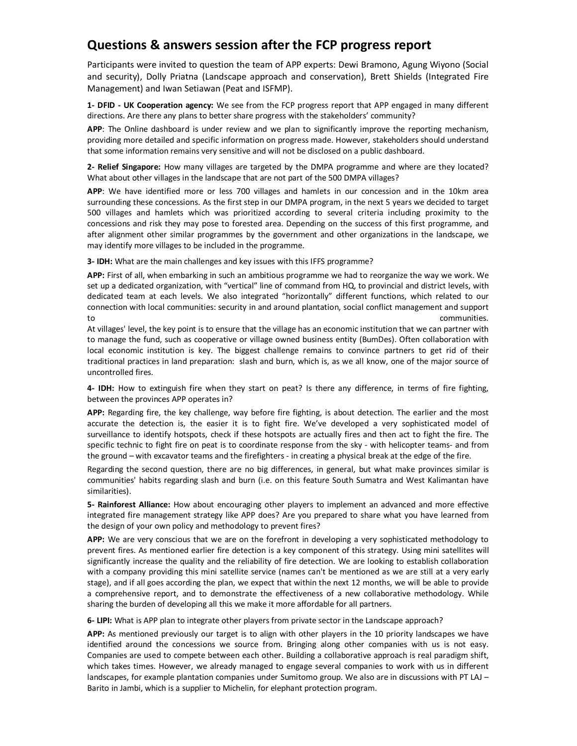# **Questions & answers session after the FCP progress report**

Participants were invited to question the team of APP experts: Dewi Bramono, Agung Wiyono (Social and security), Dolly Priatna (Landscape approach and conservation), Brett Shields (Integrated Fire Management) and Iwan Setiawan (Peat and ISFMP).

**1- DFID - UK Cooperation agency:** We see from the FCP progress report that APP engaged in many different directions. Are there any plans to better share progress with the stakeholders' community?

**APP**: The Online dashboard is under review and we plan to significantly improve the reporting mechanism, providing more detailed and specific information on progress made. However, stakeholders should understand that some information remains very sensitive and will not be disclosed on a public dashboard.

**2- Relief Singapore:** How many villages are targeted by the DMPA programme and where are they located? What about other villages in the landscape that are not part of the 500 DMPA villages?

**APP**: We have identified more or less 700 villages and hamlets in our concession and in the 10km area surrounding these concessions. As the first step in our DMPA program, in the next 5 years we decided to target 500 villages and hamlets which was prioritized according to several criteria including proximity to the concessions and risk they may pose to forested area. Depending on the success of this first programme, and after alignment other similar programmes by the government and other organizations in the landscape, we may identify more villages to be included in the programme.

**3- IDH:** What are the main challenges and key issues with this IFFS programme?

**APP:** First of all, when embarking in such an ambitious programme we had to reorganize the way we work. We set up a dedicated organization, with "vertical" line of command from HQ, to provincial and district levels, with dedicated team at each levels. We also integrated "horizontally" different functions, which related to our connection with local communities: security in and around plantation, social conflict management and support to communities.

At villages' level, the key point is to ensure that the village has an economic institution that we can partner with to manage the fund, such as cooperative or village owned business entity (BumDes). Often collaboration with local economic institution is key. The biggest challenge remains to convince partners to get rid of their traditional practices in land preparation: slash and burn, which is, as we all know, one of the major source of uncontrolled fires.

**4- IDH:** How to extinguish fire when they start on peat? Is there any difference, in terms of fire fighting, between the provinces APP operates in?

**APP:** Regarding fire, the key challenge, way before fire fighting, is about detection. The earlier and the most accurate the detection is, the easier it is to fight fire. We've developed a very sophisticated model of surveillance to identify hotspots, check if these hotspots are actually fires and then act to fight the fire. The specific technic to fight fire on peat is to coordinate response from the sky - with helicopter teams- and from the ground – with excavator teams and the firefighters - in creating a physical break at the edge of the fire.

Regarding the second question, there are no big differences, in general, but what make provinces similar is communities' habits regarding slash and burn (i.e. on this feature South Sumatra and West Kalimantan have similarities).

**5- Rainforest Alliance:** How about encouraging other players to implement an advanced and more effective integrated fire management strategy like APP does? Are you prepared to share what you have learned from the design of your own policy and methodology to prevent fires?

**APP:** We are very conscious that we are on the forefront in developing a very sophisticated methodology to prevent fires. As mentioned earlier fire detection is a key component of this strategy. Using mini satellites will significantly increase the quality and the reliability of fire detection. We are looking to establish collaboration with a company providing this mini satellite service (names can't be mentioned as we are still at a very early stage), and if all goes according the plan, we expect that within the next 12 months, we will be able to provide a comprehensive report, and to demonstrate the effectiveness of a new collaborative methodology. While sharing the burden of developing all this we make it more affordable for all partners.

**6- LIPI:** What is APP plan to integrate other players from private sector in the Landscape approach?

**APP:** As mentioned previously our target is to align with other players in the 10 priority landscapes we have identified around the concessions we source from. Bringing along other companies with us is not easy. Companies are used to compete between each other. Building a collaborative approach is real paradigm shift, which takes times. However, we already managed to engage several companies to work with us in different landscapes, for example plantation companies under Sumitomo group. We also are in discussions with PT LAJ – Barito in Jambi, which is a supplier to Michelin, for elephant protection program.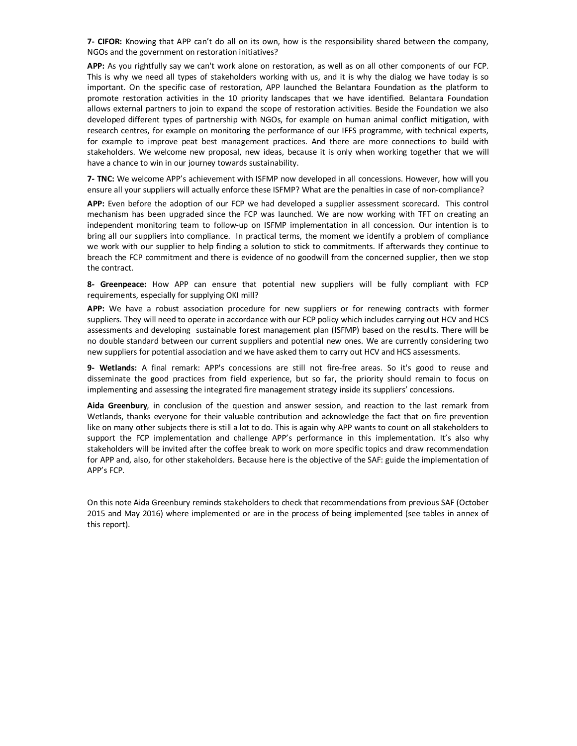**7- CIFOR:** Knowing that APP can't do all on its own, how is the responsibility shared between the company, NGOs and the government on restoration initiatives?

**APP:** As you rightfully say we can't work alone on restoration, as well as on all other components of our FCP. This is why we need all types of stakeholders working with us, and it is why the dialog we have today is so important. On the specific case of restoration, APP launched the Belantara Foundation as the platform to promote restoration activities in the 10 priority landscapes that we have identified. Belantara Foundation allows external partners to join to expand the scope of restoration activities. Beside the Foundation we also developed different types of partnership with NGOs, for example on human animal conflict mitigation, with research centres, for example on monitoring the performance of our IFFS programme, with technical experts, for example to improve peat best management practices. And there are more connections to build with stakeholders. We welcome new proposal, new ideas, because it is only when working together that we will have a chance to win in our journey towards sustainability.

**7- TNC:** We welcome APP's achievement with ISFMP now developed in all concessions. However, how will you ensure all your suppliers will actually enforce these ISFMP? What are the penalties in case of non-compliance?

**APP:** Even before the adoption of our FCP we had developed a supplier assessment scorecard. This control mechanism has been upgraded since the FCP was launched. We are now working with TFT on creating an independent monitoring team to follow-up on ISFMP implementation in all concession. Our intention is to bring all our suppliers into compliance. In practical terms, the moment we identify a problem of compliance we work with our supplier to help finding a solution to stick to commitments. If afterwards they continue to breach the FCP commitment and there is evidence of no goodwill from the concerned supplier, then we stop the contract.

**8- Greenpeace:** How APP can ensure that potential new suppliers will be fully compliant with FCP requirements, especially for supplying OKI mill?

**APP:** We have a robust association procedure for new suppliers or for renewing contracts with former suppliers. They will need to operate in accordance with our FCP policy which includes carrying out HCV and HCS assessments and developing sustainable forest management plan (ISFMP) based on the results. There will be no double standard between our current suppliers and potential new ones. We are currently considering two new suppliers for potential association and we have asked them to carry out HCV and HCS assessments.

**9- Wetlands:** A final remark: APP's concessions are still not fire-free areas. So it's good to reuse and disseminate the good practices from field experience, but so far, the priority should remain to focus on implementing and assessing the integrated fire management strategy inside its suppliers' concessions.

**Aida Greenbury**, in conclusion of the question and answer session, and reaction to the last remark from Wetlands, thanks everyone for their valuable contribution and acknowledge the fact that on fire prevention like on many other subjects there is still a lot to do. This is again why APP wants to count on all stakeholders to support the FCP implementation and challenge APP's performance in this implementation. It's also why stakeholders will be invited after the coffee break to work on more specific topics and draw recommendation for APP and, also, for other stakeholders. Because here is the objective of the SAF: guide the implementation of APP's FCP.

On this note Aida Greenbury reminds stakeholders to check that recommendations from previous SAF (October 2015 and May 2016) where implemented or are in the process of being implemented (see tables in annex of this report).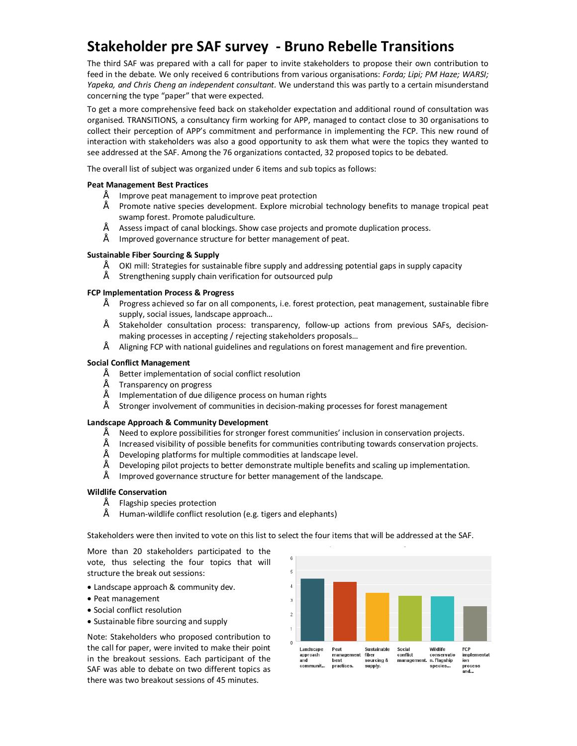# **Stakeholder pre SAF survey - Bruno Rebelle Transitions**

The third SAF was prepared with a call for paper to invite stakeholders to propose their own contribution to feed in the debate. We only received 6 contributions from various organisations: *Forda; Lipi; PM Haze; WARSI; Yapeka, and Chris Cheng an independent consultant.* We understand this was partly to a certain misunderstand concerning the type "paper" that were expected.

To get a more comprehensive feed back on stakeholder expectation and additional round of consultation was organised. TRANSITIONS, a consultancy firm working for APP, managed to contact close to 30 organisations to collect their perception of APP's commitment and performance in implementing the FCP. This new round of interaction with stakeholders was also a good opportunity to ask them what were the topics they wanted to see addressed at the SAF. Among the 76 organizations contacted, 32 proposed topics to be debated.

The overall list of subject was organized under 6 items and sub topics as follows:

### **Peat Management Best Practices**

- Improve peat management to improve peat protection
- Promote native species development. Explore microbial technology benefits to manage tropical peat swamp forest. Promote paludiculture.
- Assess impact of canal blockings. Show case projects and promote duplication process.
- Improved governance structure for better management of peat.

### **Sustainable Fiber Sourcing & Supply**

- OKI mill: Strategies for sustainable fibre supply and addressing potential gaps in supply capacity
- Strengthening supply chain verification for outsourced pulp

### **FCP Implementation Process & Progress**

- Progress achieved so far on all components, i.e. forest protection, peat management, sustainable fibre supply, social issues, landscape approach…
- Stakeholder consultation process: transparency, follow-up actions from previous SAFs, decisionmaking processes in accepting / rejecting stakeholders proposals…
- Aligning FCP with national guidelines and regulations on forest management and fire prevention.

### **Social Conflict Management**

- Better implementation of social conflict resolution
- Transparency on progress
- Implementation of due diligence process on human rights
- Stronger involvement of communities in decision-making processes for forest management

#### **Landscape Approach & Community Development**

- Need to explore possibilities for stronger forest communities' inclusion in conservation projects.
- Increased visibility of possible benefits for communities contributing towards conservation projects.
- Developing platforms for multiple commodities at landscape level.
- Developing pilot projects to better demonstrate multiple benefits and scaling up implementation.
- Improved governance structure for better management of the landscape.

### **Wildlife Conservation**

- Flagship species protection
- Human-wildlife conflict resolution (e.g. tigers and elephants)

Stakeholders were then invited to vote on this list to select the four items that will be addressed at the SAF.

More than 20 stakeholders participated to the vote, thus selecting the four topics that will structure the break out sessions:

- · Landscape approach & community dev.
- · Peat management
- · Social conflict resolution
- · Sustainable fibre sourcing and supply

Note: Stakeholders who proposed contribution to the call for paper, were invited to make their point in the breakout sessions. Each participant of the SAF was able to debate on two different topics as there was two breakout sessions of 45 minutes.

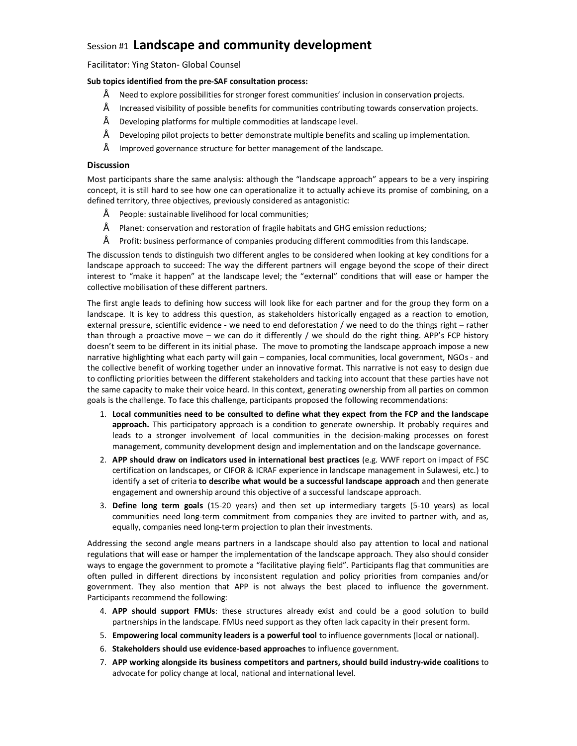# Session #1 **Landscape and community development**

Facilitator: Ying Staton- Global Counsel

### **Sub topics identified from the pre-SAF consultation process:**

- Need to explore possibilities for stronger forest communities' inclusion in conservation projects.
- Increased visibility of possible benefits for communities contributing towards conservation projects.
- Developing platforms for multiple commodities at landscape level.
- Developing pilot projects to better demonstrate multiple benefits and scaling up implementation.
- Improved governance structure for better management of the landscape.

### **Discussion**

Most participants share the same analysis: although the "landscape approach" appears to be a very inspiring concept, it is still hard to see how one can operationalize it to actually achieve its promise of combining, on a defined territory, three objectives, previously considered as antagonistic:

- People: sustainable livelihood for local communities;
- Planet: conservation and restoration of fragile habitats and GHG emission reductions;
- Profit: business performance of companies producing different commodities from this landscape.

The discussion tends to distinguish two different angles to be considered when looking at key conditions for a landscape approach to succeed: The way the different partners will engage beyond the scope of their direct interest to "make it happen" at the landscape level; the "external" conditions that will ease or hamper the collective mobilisation of these different partners.

The first angle leads to defining how success will look like for each partner and for the group they form on a landscape. It is key to address this question, as stakeholders historically engaged as a reaction to emotion, external pressure, scientific evidence - we need to end deforestation / we need to do the things right – rather than through a proactive move – we can do it differently / we should do the right thing. APP's FCP history doesn't seem to be different in its initial phase. The move to promoting the landscape approach impose a new narrative highlighting what each party will gain – companies, local communities, local government, NGOs - and the collective benefit of working together under an innovative format. This narrative is not easy to design due to conflicting priorities between the different stakeholders and tacking into account that these parties have not the same capacity to make their voice heard. In this context, generating ownership from all parties on common goals is the challenge. To face this challenge, participants proposed the following recommendations:

- 1. **Local communities need to be consulted to define what they expect from the FCP and the landscape approach.** This participatory approach is a condition to generate ownership. It probably requires and leads to a stronger involvement of local communities in the decision-making processes on forest management, community development design and implementation and on the landscape governance.
- 2. **APP should draw on indicators used in international best practices** (e.g. WWF report on impact of FSC certification on landscapes, or CIFOR & ICRAF experience in landscape management in Sulawesi, etc.) to identify a set of criteria **to describe what would be a successful landscape approach** and then generate engagement and ownership around this objective of a successful landscape approach.
- 3. **Define long term goals** (15-20 years) and then set up intermediary targets (5-10 years) as local communities need long-term commitment from companies they are invited to partner with, and as, equally, companies need long-term projection to plan their investments.

Addressing the second angle means partners in a landscape should also pay attention to local and national regulations that will ease or hamper the implementation of the landscape approach. They also should consider ways to engage the government to promote a "facilitative playing field". Participants flag that communities are often pulled in different directions by inconsistent regulation and policy priorities from companies and/or government. They also mention that APP is not always the best placed to influence the government. Participants recommend the following:

- 4. **APP should support FMUs**: these structures already exist and could be a good solution to build partnerships in the landscape. FMUs need support as they often lack capacity in their present form.
- 5. **Empowering local community leaders is a powerful tool** to influence governments (local or national).
- 6. **Stakeholders should use evidence-based approaches** to influence government.
- 7. **APP working alongside its business competitors and partners, should build industry-wide coalitions** to advocate for policy change at local, national and international level.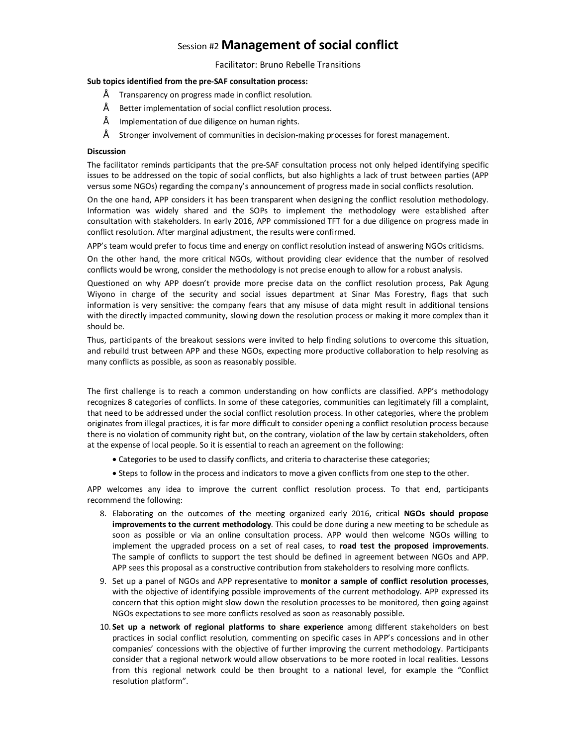# Session #2 **Management of social conflict**

### Facilitator: Bruno Rebelle Transitions

### **Sub topics identified from the pre-SAF consultation process:**

- Transparency on progress made in conflict resolution.
- Better implementation of social conflict resolution process.
- Implementation of due diligence on human rights.
- Stronger involvement of communities in decision-making processes for forest management.

### **Discussion**

The facilitator reminds participants that the pre-SAF consultation process not only helped identifying specific issues to be addressed on the topic of social conflicts, but also highlights a lack of trust between parties (APP versus some NGOs) regarding the company's announcement of progress made in social conflicts resolution.

On the one hand, APP considers it has been transparent when designing the conflict resolution methodology. Information was widely shared and the SOPs to implement the methodology were established after consultation with stakeholders. In early 2016, APP commissioned TFT for a due diligence on progress made in conflict resolution. After marginal adjustment, the results were confirmed.

APP's team would prefer to focus time and energy on conflict resolution instead of answering NGOs criticisms.

On the other hand, the more critical NGOs, without providing clear evidence that the number of resolved conflicts would be wrong, consider the methodology is not precise enough to allow for a robust analysis.

Questioned on why APP doesn't provide more precise data on the conflict resolution process, Pak Agung Wiyono in charge of the security and social issues department at Sinar Mas Forestry, flags that such information is very sensitive: the company fears that any misuse of data might result in additional tensions with the directly impacted community, slowing down the resolution process or making it more complex than it should be.

Thus, participants of the breakout sessions were invited to help finding solutions to overcome this situation, and rebuild trust between APP and these NGOs, expecting more productive collaboration to help resolving as many conflicts as possible, as soon as reasonably possible.

The first challenge is to reach a common understanding on how conflicts are classified. APP's methodology recognizes 8 categories of conflicts. In some of these categories, communities can legitimately fill a complaint, that need to be addressed under the social conflict resolution process. In other categories, where the problem originates from illegal practices, it is far more difficult to consider opening a conflict resolution process because there is no violation of community right but, on the contrary, violation of the law by certain stakeholders, often at the expense of local people. So it is essential to reach an agreement on the following:

- · Categories to be used to classify conflicts, and criteria to characterise these categories;
- · Steps to follow in the process and indicators to move a given conflicts from one step to the other.

APP welcomes any idea to improve the current conflict resolution process. To that end, participants recommend the following:

- 8. Elaborating on the outcomes of the meeting organized early 2016, critical **NGOs should propose improvements to the current methodology**. This could be done during a new meeting to be schedule as soon as possible or via an online consultation process. APP would then welcome NGOs willing to implement the upgraded process on a set of real cases, to **road test the proposed improvements**. The sample of conflicts to support the test should be defined in agreement between NGOs and APP. APP sees this proposal as a constructive contribution from stakeholders to resolving more conflicts.
- 9. Set up a panel of NGOs and APP representative to **monitor a sample of conflict resolution processes**, with the objective of identifying possible improvements of the current methodology. APP expressed its concern that this option might slow down the resolution processes to be monitored, then going against NGOs expectations to see more conflicts resolved as soon as reasonably possible.
- 10. **Set up a network of regional platforms to share experience** among different stakeholders on best practices in social conflict resolution, commenting on specific cases in APP's concessions and in other companies' concessions with the objective of further improving the current methodology. Participants consider that a regional network would allow observations to be more rooted in local realities. Lessons from this regional network could be then brought to a national level, for example the "Conflict resolution platform".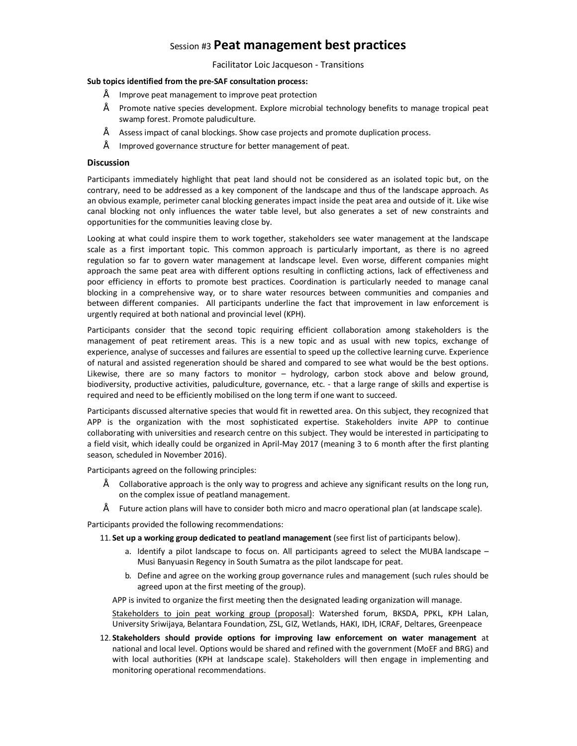### Session #3 **Peat management best practices**

Facilitator Loic Jacqueson - Transitions

### **Sub topics identified from the pre-SAF consultation process:**

- Improve peat management to improve peat protection
- Promote native species development. Explore microbial technology benefits to manage tropical peat swamp forest. Promote paludiculture.
- Assess impact of canal blockings. Show case projects and promote duplication process.
- Improved governance structure for better management of peat.

### **Discussion**

Participants immediately highlight that peat land should not be considered as an isolated topic but, on the contrary, need to be addressed as a key component of the landscape and thus of the landscape approach. As an obvious example, perimeter canal blocking generates impact inside the peat area and outside of it. Like wise canal blocking not only influences the water table level, but also generates a set of new constraints and opportunities for the communities leaving close by.

Looking at what could inspire them to work together, stakeholders see water management at the landscape scale as a first important topic. This common approach is particularly important, as there is no agreed regulation so far to govern water management at landscape level. Even worse, different companies might approach the same peat area with different options resulting in conflicting actions, lack of effectiveness and poor efficiency in efforts to promote best practices. Coordination is particularly needed to manage canal blocking in a comprehensive way, or to share water resources between communities and companies and between different companies. All participants underline the fact that improvement in law enforcement is urgently required at both national and provincial level (KPH).

Participants consider that the second topic requiring efficient collaboration among stakeholders is the management of peat retirement areas. This is a new topic and as usual with new topics, exchange of experience, analyse of successes and failures are essential to speed up the collective learning curve. Experience of natural and assisted regeneration should be shared and compared to see what would be the best options. Likewise, there are so many factors to monitor – hydrology, carbon stock above and below ground, biodiversity, productive activities, paludiculture, governance, etc. - that a large range of skills and expertise is required and need to be efficiently mobilised on the long term if one want to succeed.

Participants discussed alternative species that would fit in rewetted area. On this subject, they recognized that APP is the organization with the most sophisticated expertise. Stakeholders invite APP to continue collaborating with universities and research centre on this subject. They would be interested in participating to a field visit, which ideally could be organized in April-May 2017 (meaning 3 to 6 month after the first planting season, scheduled in November 2016).

Participants agreed on the following principles:

- Collaborative approach is the only way to progress and achieve any significant results on the long run, on the complex issue of peatland management.
- Future action plans will have to consider both micro and macro operational plan (at landscape scale).

Participants provided the following recommendations:

- 11. **Set up a working group dedicated to peatland management** (see first list of participants below).
	- a. Identify a pilot landscape to focus on. All participants agreed to select the MUBA landscape Musi Banyuasin Regency in South Sumatra as the pilot landscape for peat.
	- b. Define and agree on the working group governance rules and management (such rules should be agreed upon at the first meeting of the group).

APP is invited to organize the first meeting then the designated leading organization will manage.

Stakeholders to join peat working group (proposal): Watershed forum, BKSDA, PPKL, KPH Lalan, University Sriwijaya, Belantara Foundation, ZSL, GIZ, Wetlands, HAKI, IDH, ICRAF, Deltares, Greenpeace

12. **Stakeholders should provide options for improving law enforcement on water management** at national and local level. Options would be shared and refined with the government (MoEF and BRG) and with local authorities (KPH at landscape scale). Stakeholders will then engage in implementing and monitoring operational recommendations.